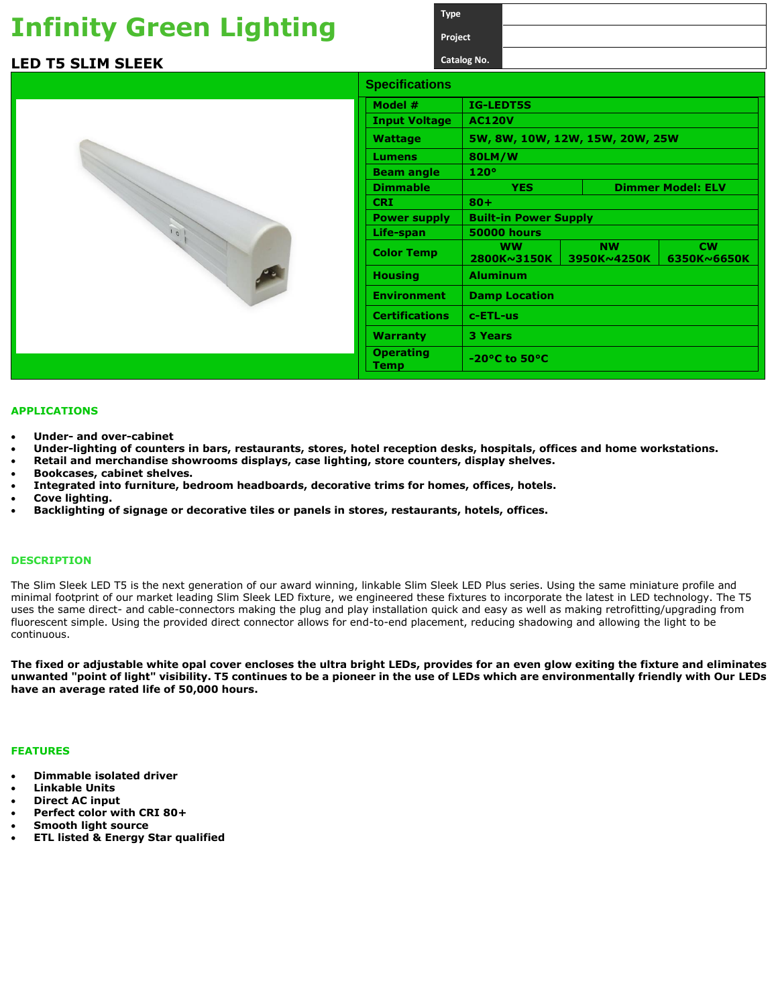## **Infinity Green Lighting**

### **LED T5 SLIM SLEEK**



|                                 | Project     |                                 |                    |  |                          |                          |  |  |
|---------------------------------|-------------|---------------------------------|--------------------|--|--------------------------|--------------------------|--|--|
|                                 | Catalog No. |                                 |                    |  |                          |                          |  |  |
| <b>Specifications</b>           |             |                                 |                    |  |                          |                          |  |  |
| Model #                         |             | <b>IG-LEDT5S</b>                |                    |  |                          |                          |  |  |
| <b>Input Voltage</b>            |             | <b>AC120V</b>                   |                    |  |                          |                          |  |  |
| <b>Wattage</b>                  |             | 5W, 8W, 10W, 12W, 15W, 20W, 25W |                    |  |                          |                          |  |  |
| Lumens                          |             | 80LM/W                          |                    |  |                          |                          |  |  |
| <b>Beam angle</b>               |             | 120°                            |                    |  |                          |                          |  |  |
| <b>Dimmable</b>                 |             | <b>YES</b>                      |                    |  |                          | <b>Dimmer Model: ELV</b> |  |  |
| <b>CRI</b>                      |             | $80 +$                          |                    |  |                          |                          |  |  |
| <b>Power supply</b>             |             | <b>Built-in Power Supply</b>    |                    |  |                          |                          |  |  |
| Life-span                       |             |                                 | <b>50000 hours</b> |  |                          |                          |  |  |
| <b>Color Temp</b>               |             | <b>WW</b><br>2800K~3150K        |                    |  | <b>NW</b><br>3950K~4250K | <b>CW</b><br>6350K~6650K |  |  |
| <b>Housing</b>                  |             | <b>Aluminum</b>                 |                    |  |                          |                          |  |  |
| <b>Environment</b>              |             | <b>Damp Location</b>            |                    |  |                          |                          |  |  |
| <b>Certifications</b>           |             | c-ETL-us                        |                    |  |                          |                          |  |  |
| Warranty                        |             | <b>3 Years</b>                  |                    |  |                          |                          |  |  |
| <b>Operating</b><br><b>Temp</b> |             |                                 | -20°C to 50°C      |  |                          |                          |  |  |
|                                 |             |                                 |                    |  |                          |                          |  |  |

**Type**

#### **APPLICATIONS**

- **Under- and over-cabinet**
- **Under-lighting of counters in bars, restaurants, stores, hotel reception desks, hospitals, offices and home workstations.**
- **Retail and merchandise showrooms displays, case lighting, store counters, display shelves.**
- **Bookcases, cabinet shelves.**
- **Integrated into furniture, bedroom headboards, decorative trims for homes, offices, hotels.**
- **Cove lighting.**
- **Backlighting of signage or decorative tiles or panels in stores, restaurants, hotels, offices.**

#### **DESCRIPTION**

The Slim Sleek LED T5 is the next generation of our award winning, linkable Slim Sleek LED Plus series. Using the same miniature profile and minimal footprint of our market leading Slim Sleek LED fixture, we engineered these fixtures to incorporate the latest in LED technology. The T5 uses the same direct- and cable-connectors making the plug and play installation quick and easy as well as making retrofitting/upgrading from fluorescent simple. Using the provided direct connector allows for end-to-end placement, reducing shadowing and allowing the light to be continuous.

**The fixed or adjustable white opal cover encloses the ultra bright LEDs, provides for an even glow exiting the fixture and eliminates unwanted "point of light" visibility. T5 continues to be a pioneer in the use of LEDs which are environmentally friendly with Our LEDs have an average rated life of 50,000 hours.**

#### **FEATURES**

- **Dimmable isolated driver**
- **Linkable Units**
- **Direct AC input**
- **Perfect color with CRI 80+**
- **Smooth light source**
- **ETL listed & Energy Star qualified**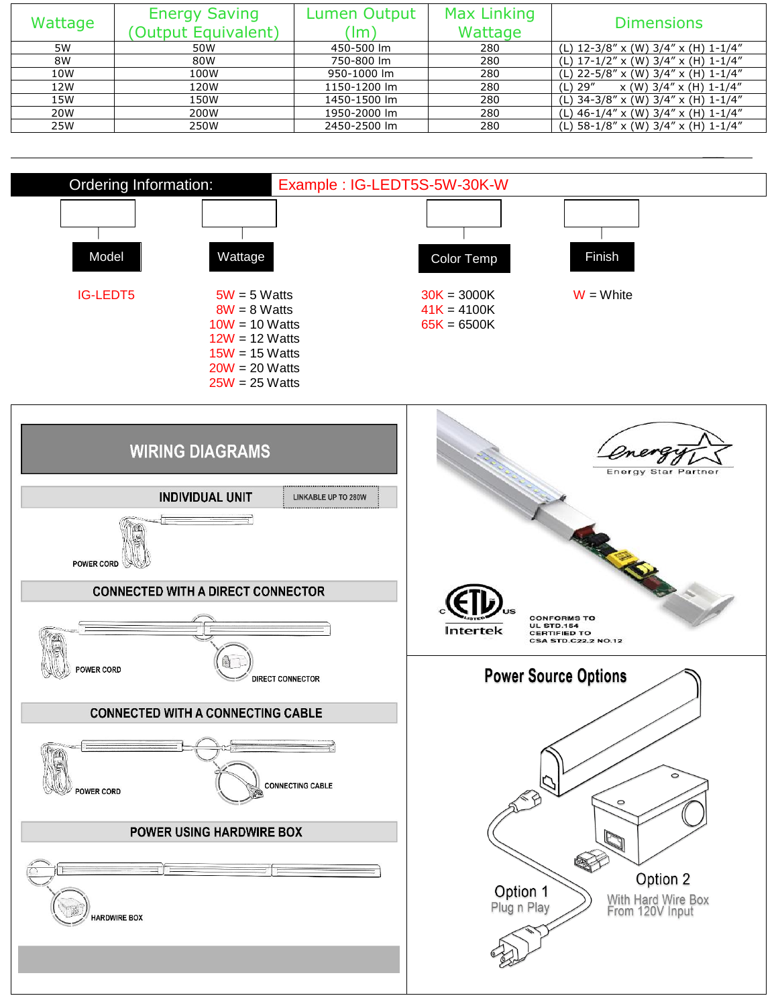| Wattage | <b>Energy Saving</b> | <b>Max Linking</b><br>Lumen Output |         | <b>Dimensions</b>                            |  |
|---------|----------------------|------------------------------------|---------|----------------------------------------------|--|
|         | (Output Equivalent)  | $\mathsf{Im}'$                     | Wattage |                                              |  |
| 5W      | 50W                  | 450-500 lm                         | 280     | (L) $12-3/8''$ x (W) $3/4''$ x (H) $1-1/4''$ |  |
| 8W      | 80W                  | 750-800 lm                         | 280     | (L) 17-1/2" x (W) 3/4" x (H) 1-1/4"          |  |
| 10W     | 100W                 | 950-1000 lm                        | 280     | (L) 22-5/8" x (W) 3/4" x (H) 1-1/4"          |  |
| 12W     | 120W                 | 1150-1200 lm                       | 280     | $(L)$ 29"<br>$x(W)$ 3/4" $x(H)$ 1-1/4"       |  |
| 15W     | 150W                 | 1450-1500 lm                       | 280     | (L) 34-3/8" x (W) 3/4" x (H) 1-1/4"          |  |
| 20W     | 200W                 | 1950-2000 lm                       | 280     | (L) $46-1/4''$ x (W) $3/4''$ x (H) $1-1/4''$ |  |
| 25W     | 250W                 | 2450-2500 lm                       | 280     | (L) $58-1/8''$ x (W) $3/4''$ x (H) $1-1/4''$ |  |

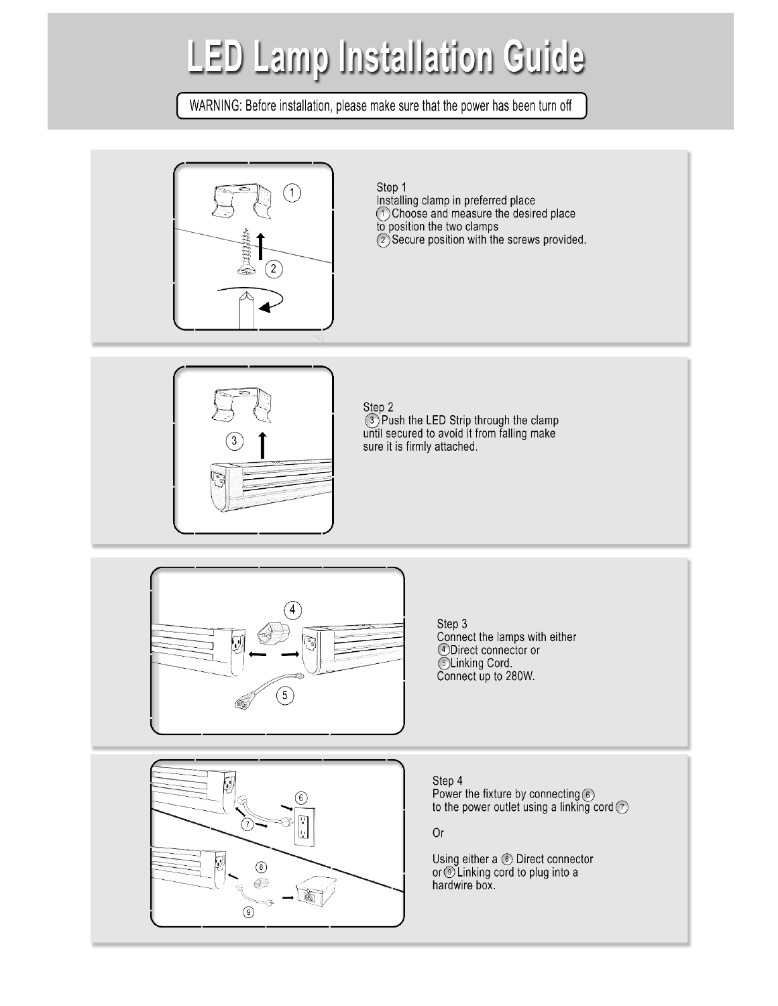# **LED Lamp Installation Guide**

WARNING: Before installation, please make sure that the power has been turn off